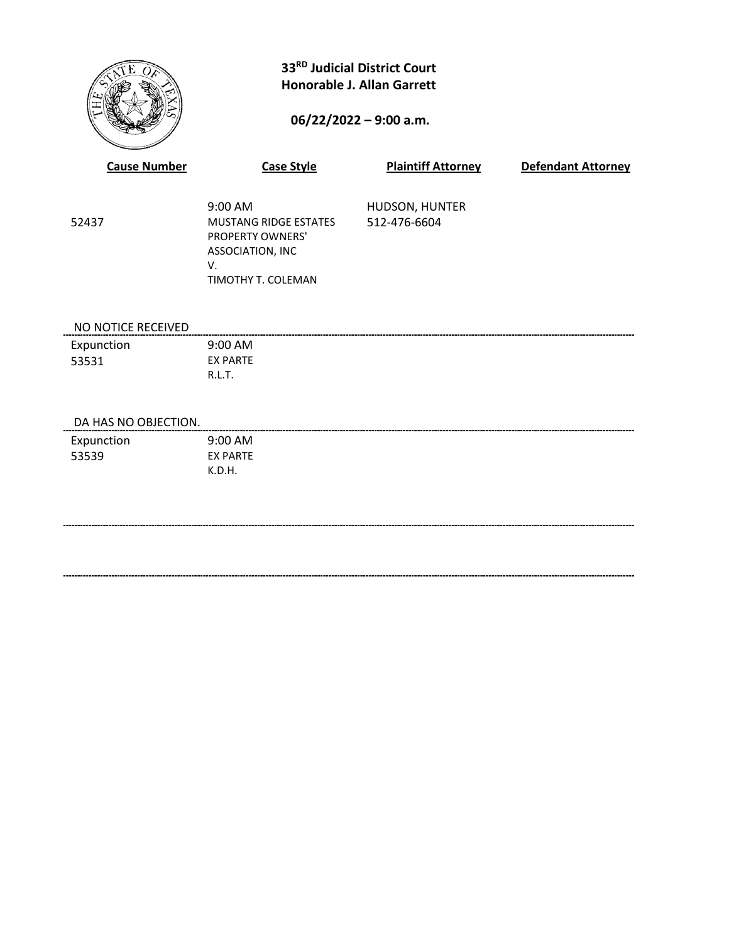

# **33RD Judicial District Court Honorable J. Allan Garrett**

## **06/22/2022 – 9:00 a.m.**

| <b>Cause Number</b>  | <b>Case Style</b>                                                                                                  | <b>Plaintiff Attorney</b>      | <b>Defendant Attorney</b> |
|----------------------|--------------------------------------------------------------------------------------------------------------------|--------------------------------|---------------------------|
| 52437                | 9:00 AM<br><b>MUSTANG RIDGE ESTATES</b><br>PROPERTY OWNERS'<br>ASSOCIATION, INC<br>V.<br><b>TIMOTHY T. COLEMAN</b> | HUDSON, HUNTER<br>512-476-6604 |                           |
| NO NOTICE RECEIVED   |                                                                                                                    |                                |                           |
| Expunction           | 9:00 AM                                                                                                            |                                |                           |
| 53531                | <b>EX PARTE</b>                                                                                                    |                                |                           |
|                      | R.L.T.                                                                                                             |                                |                           |
| DA HAS NO OBJECTION. |                                                                                                                    |                                |                           |
| Expunction           | 9:00 AM                                                                                                            |                                |                           |
| 53539                | <b>EX PARTE</b>                                                                                                    |                                |                           |
|                      | K.D.H.                                                                                                             |                                |                           |
|                      |                                                                                                                    |                                |                           |
|                      |                                                                                                                    |                                |                           |
|                      |                                                                                                                    |                                |                           |
|                      |                                                                                                                    |                                |                           |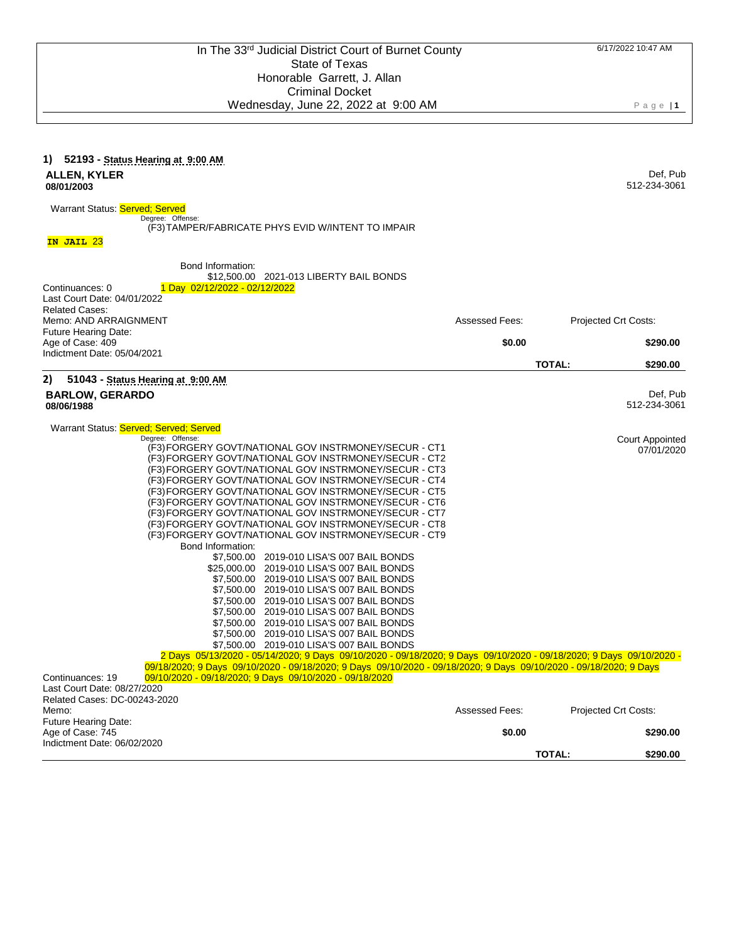| 1) 52193 - Status Hearing at 9:00 AM<br>ALLEN, KYLER<br>08/01/2003                                                                                                                                                                                                                                                                                                                                                                                                                                                                                                                                                                                                                                                                                                                                                                                                                                                                                                                                                                                                                                               |                       | Def, Pub<br>512-234-3061              |
|------------------------------------------------------------------------------------------------------------------------------------------------------------------------------------------------------------------------------------------------------------------------------------------------------------------------------------------------------------------------------------------------------------------------------------------------------------------------------------------------------------------------------------------------------------------------------------------------------------------------------------------------------------------------------------------------------------------------------------------------------------------------------------------------------------------------------------------------------------------------------------------------------------------------------------------------------------------------------------------------------------------------------------------------------------------------------------------------------------------|-----------------------|---------------------------------------|
| Warrant Status: Served; Served<br>Degree: Offense:<br>(F3) TAMPER/FABRICATE PHYS EVID W/INTENT TO IMPAIR                                                                                                                                                                                                                                                                                                                                                                                                                                                                                                                                                                                                                                                                                                                                                                                                                                                                                                                                                                                                         |                       |                                       |
| IN JAIL 23                                                                                                                                                                                                                                                                                                                                                                                                                                                                                                                                                                                                                                                                                                                                                                                                                                                                                                                                                                                                                                                                                                       |                       |                                       |
| Bond Information:<br>\$12,500.00 2021-013 LIBERTY BAIL BONDS<br>Continuances: 0<br>1 Day 02/12/2022 - 02/12/2022                                                                                                                                                                                                                                                                                                                                                                                                                                                                                                                                                                                                                                                                                                                                                                                                                                                                                                                                                                                                 |                       |                                       |
| Last Court Date: 04/01/2022<br><b>Related Cases:</b>                                                                                                                                                                                                                                                                                                                                                                                                                                                                                                                                                                                                                                                                                                                                                                                                                                                                                                                                                                                                                                                             |                       |                                       |
| Memo: AND ARRAIGNMENT                                                                                                                                                                                                                                                                                                                                                                                                                                                                                                                                                                                                                                                                                                                                                                                                                                                                                                                                                                                                                                                                                            | Assessed Fees:        | Projected Crt Costs:                  |
| <b>Future Hearing Date:</b><br>Age of Case: 409                                                                                                                                                                                                                                                                                                                                                                                                                                                                                                                                                                                                                                                                                                                                                                                                                                                                                                                                                                                                                                                                  | \$0.00                | \$290.00                              |
| Indictment Date: 05/04/2021                                                                                                                                                                                                                                                                                                                                                                                                                                                                                                                                                                                                                                                                                                                                                                                                                                                                                                                                                                                                                                                                                      |                       | <b>TOTAL:</b><br>\$290.00             |
| 2)<br>51043 - Status Hearing at 9:00 AM<br><b>BARLOW, GERARDO</b><br>08/06/1988                                                                                                                                                                                                                                                                                                                                                                                                                                                                                                                                                                                                                                                                                                                                                                                                                                                                                                                                                                                                                                  |                       | Def, Pub<br>512-234-3061              |
| Warrant Status: Served: Served: Served<br>Degree: Offense:<br>(F3) FORGERY GOVT/NATIONAL GOV INSTRMONEY/SECUR - CT1<br>(F3) FORGERY GOVT/NATIONAL GOV INSTRMONEY/SECUR - CT2<br>(F3) FORGERY GOVT/NATIONAL GOV INSTRMONEY/SECUR - CT3<br>(F3) FORGERY GOVT/NATIONAL GOV INSTRMONEY/SECUR - CT4<br>(F3) FORGERY GOVT/NATIONAL GOV INSTRMONEY/SECUR - CT5<br>(F3) FORGERY GOVT/NATIONAL GOV INSTRMONEY/SECUR - CT6<br>(F3) FORGERY GOVT/NATIONAL GOV INSTRMONEY/SECUR - CT7<br>(F3) FORGERY GOVT/NATIONAL GOV INSTRMONEY/SECUR - CT8<br>(F3) FORGERY GOVT/NATIONAL GOV INSTRMONEY/SECUR - CT9<br>Bond Information:<br>\$7,500.00 2019-010 LISA'S 007 BAIL BONDS<br>\$25,000.00 2019-010 LISA'S 007 BAIL BONDS<br>\$7,500.00 2019-010 LISA'S 007 BAIL BONDS<br>\$7,500.00 2019-010 LISA'S 007 BAIL BONDS<br>\$7,500.00 2019-010 LISA'S 007 BAIL BONDS<br>\$7,500.00 2019-010 LISA'S 007 BAIL BONDS<br>\$7,500.00 2019-010 LISA'S 007 BAIL BONDS<br>\$7,500.00 2019-010 LISA'S 007 BAIL BONDS<br>2 Days 05/13/2020 - 05/14/2020; 9 Days 09/10/2020 - 09/18/2020; 9 Days 09/10/2020 - 09/18/2020; 9 Days 09/10/2020 - |                       | <b>Court Appointed</b><br>07/01/2020  |
| 09/18/2020; 9 Days 09/10/2020 - 09/18/2020; 9 Days 09/10/2020 - 09/18/2020; 9 Days 09/10/2020 - 09/18/2020; 9 Days<br>Continuances: 19<br>09/10/2020 - 09/18/2020; 9 Days 09/10/2020 - 09/18/2020<br>Last Court Date: 08/27/2020<br>Related Cases: DC-00243-2020                                                                                                                                                                                                                                                                                                                                                                                                                                                                                                                                                                                                                                                                                                                                                                                                                                                 |                       |                                       |
| Memo:<br>Future Hearing Date:                                                                                                                                                                                                                                                                                                                                                                                                                                                                                                                                                                                                                                                                                                                                                                                                                                                                                                                                                                                                                                                                                    | <b>Assessed Fees:</b> | Projected Crt Costs:                  |
| Age of Case: 745<br>Indictment Date: 06/02/2020                                                                                                                                                                                                                                                                                                                                                                                                                                                                                                                                                                                                                                                                                                                                                                                                                                                                                                                                                                                                                                                                  | \$0.00                | \$290.00<br><b>TOTAL:</b><br>\$290.00 |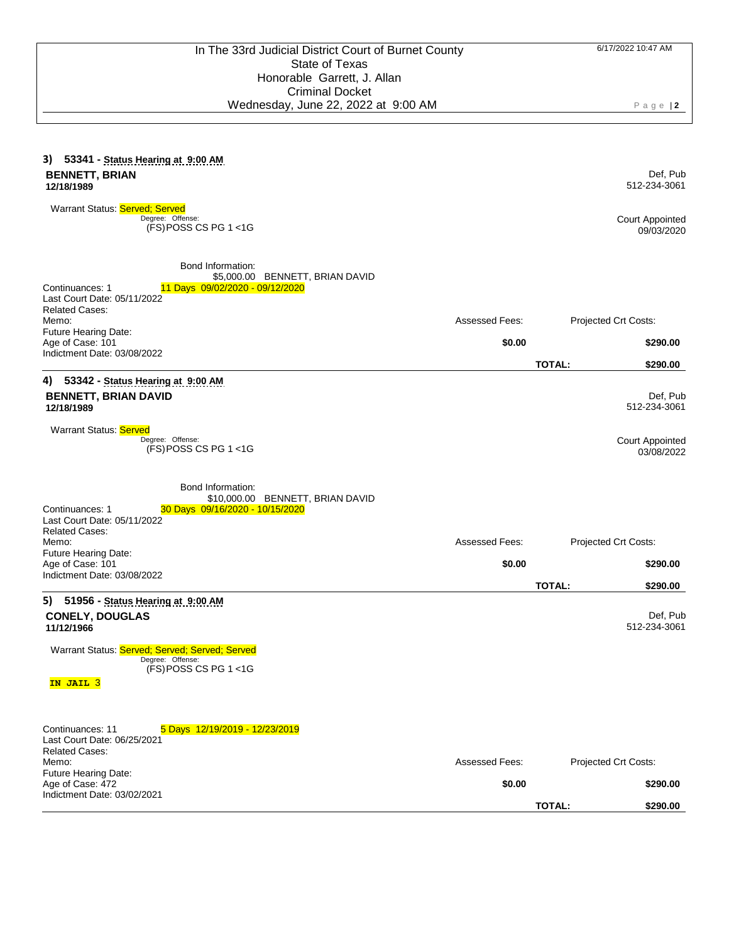| 3) 53341 - Status Hearing at 9:00 AM<br><b>BENNETT, BRIAN</b><br>12/18/1989                                                                                                                                                                             |                                 |                                       | Def, Pub<br>512-234-3061             |
|---------------------------------------------------------------------------------------------------------------------------------------------------------------------------------------------------------------------------------------------------------|---------------------------------|---------------------------------------|--------------------------------------|
| Warrant Status: Served; Served<br>Degree: Offense:<br>(FS) POSS CS PG 1 <1G                                                                                                                                                                             |                                 |                                       | <b>Court Appointed</b><br>09/03/2020 |
| Bond Information:<br>\$5,000.00 BENNETT, BRIAN DAVID<br>Continuances: 1<br>11 Days 09/02/2020 - 09/12/2020<br>Last Court Date: 05/11/2022<br><b>Related Cases:</b><br>Memo:<br>Future Hearing Date:<br>Age of Case: 101<br>Indictment Date: 03/08/2022  | <b>Assessed Fees:</b><br>\$0.00 | Projected Crt Costs:<br><b>TOTAL:</b> | \$290.00<br>\$290.00                 |
| 4)<br>53342 - Status Hearing at 9:00 AM<br><b>BENNETT, BRIAN DAVID</b><br>12/18/1989                                                                                                                                                                    |                                 |                                       | Def, Pub<br>512-234-3061             |
| Warrant Status: Served<br>Degree: Offense:<br>$(FS)$ POSS CS PG 1 <1G                                                                                                                                                                                   |                                 |                                       | <b>Court Appointed</b><br>03/08/2022 |
| Bond Information:<br>\$10,000.00 BENNETT, BRIAN DAVID<br>Continuances: 1<br>30 Days 09/16/2020 - 10/15/2020<br>Last Court Date: 05/11/2022<br><b>Related Cases:</b><br>Memo:<br>Future Hearing Date:<br>Age of Case: 101<br>Indictment Date: 03/08/2022 | Assessed Fees:<br>\$0.00        | Projected Crt Costs:                  | \$290.00                             |
| 5) 51956 - Status Hearing at 9:00 AM<br><b>CONELY, DOUGLAS</b><br>11/12/1966<br>Warrant Status: Served; Served; Served; Served<br>Degree: Offense:<br>(FS) POSS CS PG 1 <1G<br>IN JAIL 3                                                                |                                 | <b>TOTAL:</b>                         | \$290.00<br>Def, Pub<br>512-234-3061 |
| Continuances: 11<br>5 Days 12/19/2019 - 12/23/2019<br>Last Court Date: 06/25/2021<br><b>Related Cases:</b><br>Memo:<br>Future Hearing Date:<br>Age of Case: 472<br>Indictment Date: 03/02/2021                                                          | Assessed Fees:<br>\$0.00        | Projected Crt Costs:<br>TOTAL:        | \$290.00<br>\$290.00                 |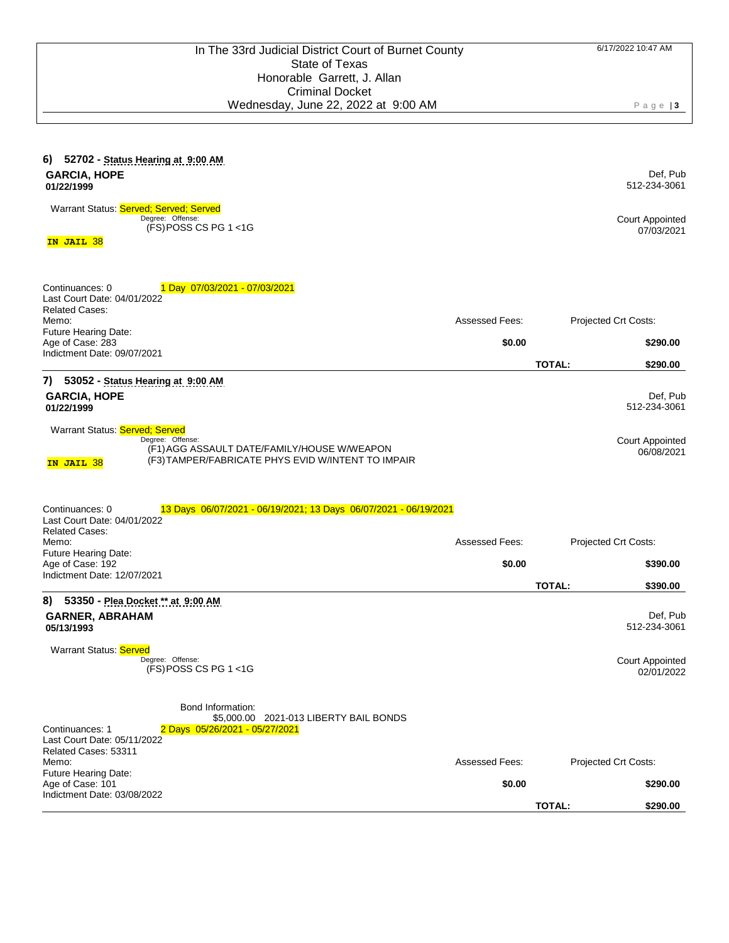| 52702 - Status Hearing at 9:00 AM<br>6)<br><b>GARCIA, HOPE</b><br>01/22/1999                                                                                          |                       |               | Def, Pub<br>512-234-3061             |
|-----------------------------------------------------------------------------------------------------------------------------------------------------------------------|-----------------------|---------------|--------------------------------------|
| Warrant Status: Served; Served; Served<br>Degree: Offense:<br>$(FS)$ POSS CS PG 1 <1G                                                                                 |                       |               | <b>Court Appointed</b><br>07/03/2021 |
| IN JAIL 38                                                                                                                                                            |                       |               |                                      |
| Continuances: 0<br>1 Day 07/03/2021 - 07/03/2021<br>Last Court Date: 04/01/2022                                                                                       |                       |               |                                      |
| <b>Related Cases:</b><br>Memo:                                                                                                                                        | Assessed Fees:        |               | Projected Crt Costs:                 |
| Future Hearing Date:<br>Age of Case: 283<br>Indictment Date: 09/07/2021                                                                                               | \$0.00                |               | \$290.00                             |
|                                                                                                                                                                       |                       | <b>TOTAL:</b> | \$290.00                             |
| 7)<br>53052 - Status Hearing at 9:00 AM<br><b>GARCIA, HOPE</b><br>01/22/1999                                                                                          |                       |               | Def, Pub<br>512-234-3061             |
| Warrant Status: Served; Served<br>Degree: Offense:<br>(F1) AGG ASSAULT DATE/FAMILY/HOUSE W/WEAPON<br>(F3) TAMPER/FABRICATE PHYS EVID W/INTENT TO IMPAIR<br>IN JAIL 38 |                       |               | <b>Court Appointed</b><br>06/08/2021 |
| Continuances: 0<br>13 Days 06/07/2021 - 06/19/2021; 13 Days 06/07/2021 - 06/19/2021<br>Last Court Date: 04/01/2022<br><b>Related Cases:</b><br>Memo:                  | Assessed Fees:        |               | Projected Crt Costs:                 |
| Future Hearing Date:                                                                                                                                                  |                       |               |                                      |
| Age of Case: 192<br>Indictment Date: 12/07/2021                                                                                                                       | \$0.00                | <b>TOTAL:</b> | \$390.00<br>\$390.00                 |
| 8) 53350 - Plea Docket ** at 9:00 AM<br><b>GARNER, ABRAHAM</b><br>05/13/1993                                                                                          |                       |               | Def, Pub<br>512-234-3061             |
| Warrant Status: Served<br>Degree: Offense:<br>$(FS)$ POSS CS PG 1 <1G                                                                                                 |                       |               | <b>Court Appointed</b><br>02/01/2022 |
| Bond Information:<br>\$5,000.00 2021-013 LIBERTY BAIL BONDS<br>Continuances: 1<br>2 Days 05/26/2021 - 05/27/2021<br>Last Court Date: 05/11/2022                       |                       |               |                                      |
| Related Cases: 53311<br>Memo:                                                                                                                                         | <b>Assessed Fees:</b> |               | Projected Crt Costs:                 |
| Future Hearing Date:<br>Age of Case: 101<br>Indictment Date: 03/08/2022                                                                                               | \$0.00                |               | \$290.00                             |
|                                                                                                                                                                       |                       | <b>TOTAL:</b> | \$290.00                             |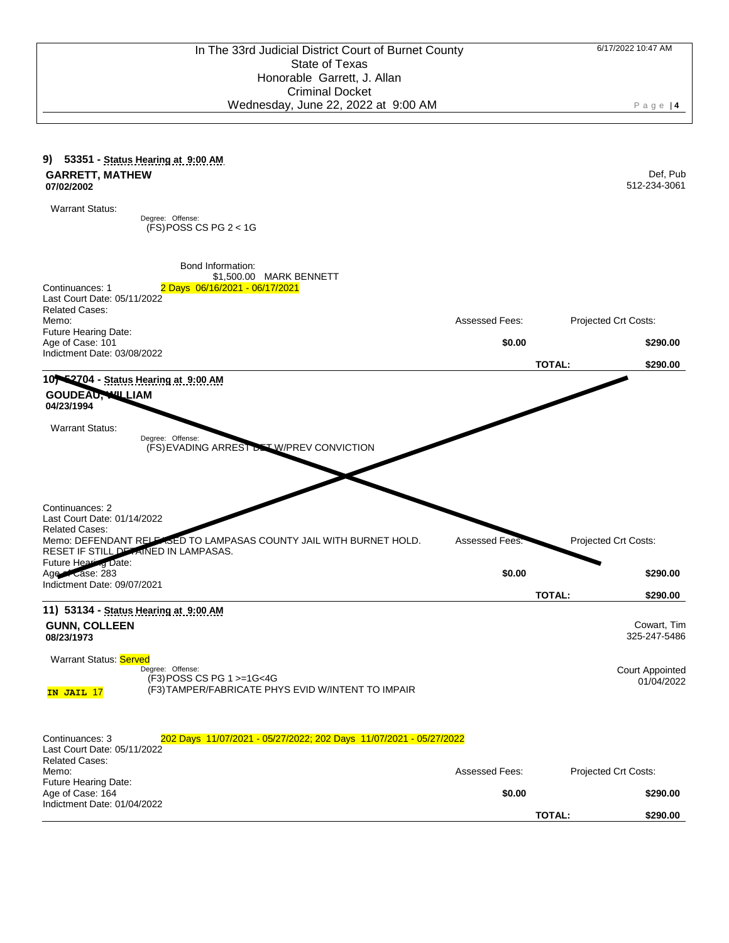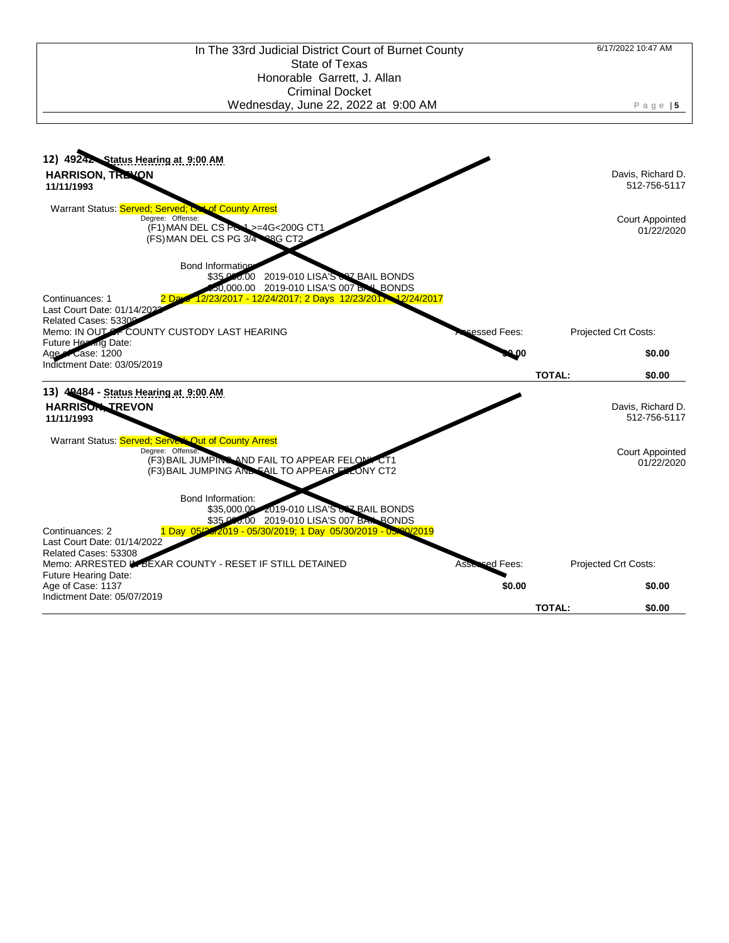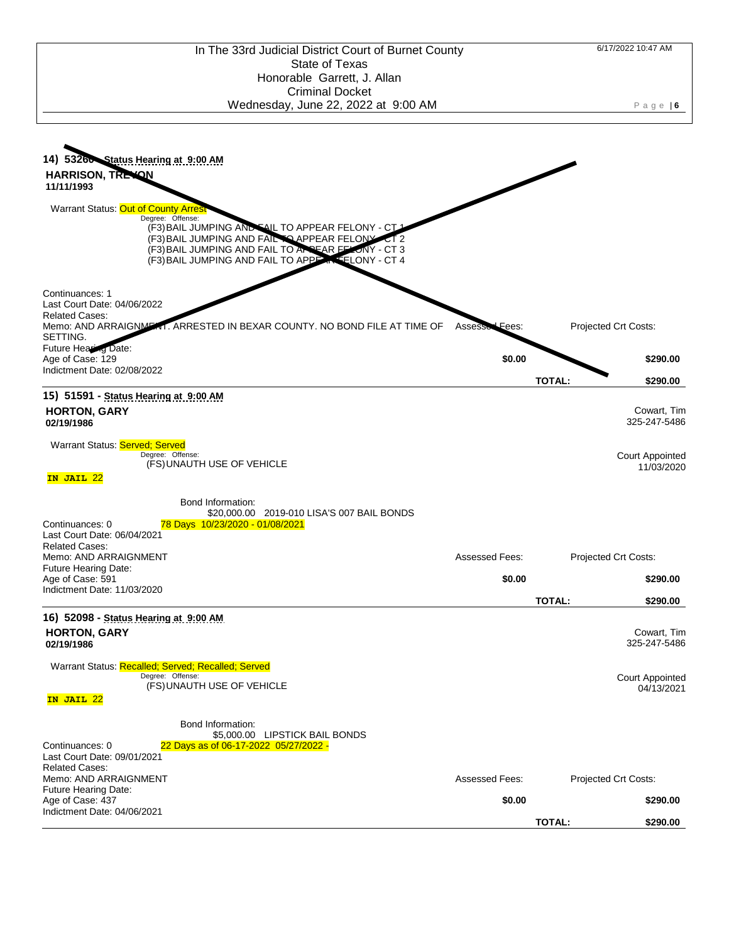

Indictment Date: 02/08/2022 **15) 51591 - Status Hearing at 9:00 AM HORTON, GARY**

**02/19/1986**

Continuances: 1

Related Cases:

Future Hearing Date:

Age of Case: 129

SETTING.

Last Court Date: 04/06/2022

Warrant Status: **Served**; Served

Degree: Offense: (FS) UNAUTH USE OF VEHICLE

**IN JAIL** 22

Bond Information: \$20,000.00 2019-010 LISA'S 007 BAIL BONDS

(F3) BAIL JUMPING AND FAIL TO APPEAR FELONY - CT 1 (F3) BAIL JUMPING AND FAIL TO APPEAR FELONY CT 2 (F3) BAIL JUMPING AND FAIL TO APPEAR FELONY - CT 3 (F3) BAIL JUMPING AND FAIL TO APPEAR FELONY - CT 4

Memo: AND ARRAIGNMENT. ARRESTED IN BEXAR COUNTY. NO BOND FILE AT TIME OF Asses

| 78 Days 10/23/2020 - 01/08/2021<br>Continuances: 0<br>Last Court Date: 06/04/2021                                  |                       |                                      |
|--------------------------------------------------------------------------------------------------------------------|-----------------------|--------------------------------------|
| <b>Related Cases:</b><br>Memo: AND ARRAIGNMENT<br><b>Future Hearing Date:</b>                                      | Assessed Fees:        | Projected Crt Costs:                 |
| Age of Case: 591<br>Indictment Date: 11/03/2020                                                                    | \$0.00                | \$290.00                             |
|                                                                                                                    |                       | <b>TOTAL:</b><br>\$290.00            |
| 16) 52098 - Status Hearing at 9:00 AM                                                                              |                       |                                      |
| <b>HORTON, GARY</b><br>02/19/1986                                                                                  |                       | Cowart, Tim<br>325-247-5486          |
| Warrant Status: Recalled; Served; Recalled; Served<br>Degree: Offense:<br>(FS) UNAUTH USE OF VEHICLE<br>IN JAIL 22 |                       | <b>Court Appointed</b><br>04/13/2021 |
| Bond Information:<br>\$5,000.00 LIPSTICK BAIL BONDS                                                                |                       |                                      |
| 22 Days as of 06-17-2022 05/27/2022 -<br>Continuances: 0<br>Last Court Date: 09/01/2021<br><b>Related Cases:</b>   |                       |                                      |
| Memo: AND ARRAIGNMENT                                                                                              | <b>Assessed Fees:</b> | Projected Crt Costs:                 |
| <b>Future Hearing Date:</b><br>Age of Case: 437<br>Indictment Date: 04/06/2021                                     | \$0.00                | \$290.00                             |

**TOTAL: \$290.00**

Fees: Projected Crt Costs:

**\$0.00 \$290.00**

**TOTAL: \$290.00**

Cowart, Tim 325-247-5486

Court Appointed 11/03/2020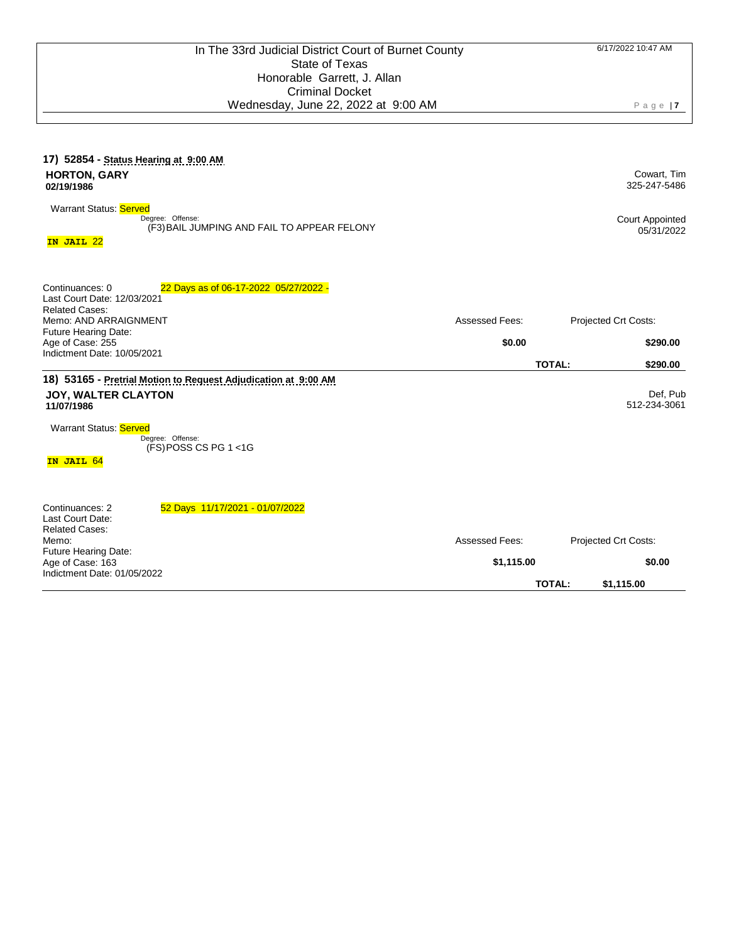| 17) 52854 - Status Hearing at 9:00 AM<br><b>HORTON, GARY</b><br>02/19/1986                                                                                                                               |                              | Cowart, Tim<br>325-247-5486                                   |
|----------------------------------------------------------------------------------------------------------------------------------------------------------------------------------------------------------|------------------------------|---------------------------------------------------------------|
| <b>Warrant Status: Served</b><br>Degree: Offense:<br>(F3) BAIL JUMPING AND FAIL TO APPEAR FELONY<br>IN JAIL 22                                                                                           |                              | <b>Court Appointed</b><br>05/31/2022                          |
| 22 Days as of 06-17-2022 05/27/2022 -<br>Continuances: 0<br>Last Court Date: 12/03/2021<br><b>Related Cases:</b><br>Memo: AND ARRAIGNMENT                                                                | Assessed Fees:               | Projected Crt Costs:                                          |
| Future Hearing Date:<br>Age of Case: 255<br>Indictment Date: 10/05/2021                                                                                                                                  | \$0.00                       | \$290.00<br><b>TOTAL:</b><br>\$290.00                         |
| 18) 53165 - Pretrial Motion to Request Adjudication at 9:00 AM<br><b>JOY, WALTER CLAYTON</b><br>11/07/1986<br><b>Warrant Status: Served</b><br>Degree: Offense:<br>$(FS)$ POSS CS PG 1 <1G<br>IN JAIL 64 |                              | Def, Pub<br>512-234-3061                                      |
| Continuances: 2<br>52 Days 11/17/2021 - 01/07/2022<br>Last Court Date:<br><b>Related Cases:</b><br>Memo:<br>Future Hearing Date:<br>Age of Case: 163<br>Indictment Date: 01/05/2022                      | Assessed Fees:<br>\$1,115.00 | Projected Crt Costs:<br>\$0.00<br><b>TOTAL:</b><br>\$1,115.00 |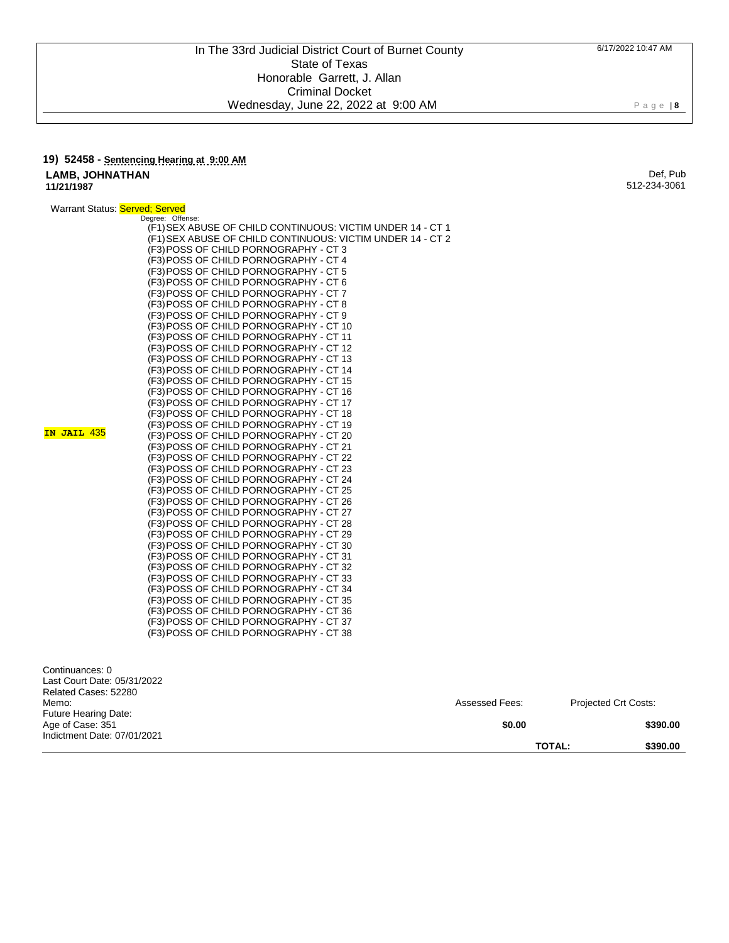## **19) 52458 - Sentencing Hearing at 9:00 AM LAMB, JOHNATHAN 11/21/1987**

Def, Pub 512-234-3061

P a g e | **8**

| Warrant Status: Served: Served |                  |
|--------------------------------|------------------|
|                                | Degree: Offense: |

 $IN$ 

|                 | (F1) SEX ABUSE OF CHILD CONTINUOUS: VICTIM UNDER 14 - CT 1<br>(F1) SEX ABUSE OF CHILD CONTINUOUS: VICTIM UNDER 14 - CT 2<br>(F3) POSS OF CHILD PORNOGRAPHY - CT 3<br>(F3) POSS OF CHILD PORNOGRAPHY - CT 4<br>(F3) POSS OF CHILD PORNOGRAPHY - CT 5<br>(F3) POSS OF CHILD PORNOGRAPHY - CT 6<br>(F3) POSS OF CHILD PORNOGRAPHY - CT 7<br>(F3) POSS OF CHILD PORNOGRAPHY - CT 8<br>(F3) POSS OF CHILD PORNOGRAPHY - CT 9<br>(F3) POSS OF CHILD PORNOGRAPHY - CT 10<br>(F3) POSS OF CHILD PORNOGRAPHY - CT 11 |
|-----------------|-------------------------------------------------------------------------------------------------------------------------------------------------------------------------------------------------------------------------------------------------------------------------------------------------------------------------------------------------------------------------------------------------------------------------------------------------------------------------------------------------------------|
|                 | (F3) POSS OF CHILD PORNOGRAPHY - CT 12<br>(F3) POSS OF CHILD PORNOGRAPHY - CT 13                                                                                                                                                                                                                                                                                                                                                                                                                            |
|                 | (F3) POSS OF CHILD PORNOGRAPHY - CT 14                                                                                                                                                                                                                                                                                                                                                                                                                                                                      |
|                 | (F3) POSS OF CHILD PORNOGRAPHY - CT 15                                                                                                                                                                                                                                                                                                                                                                                                                                                                      |
|                 | (F3) POSS OF CHILD PORNOGRAPHY - CT 16                                                                                                                                                                                                                                                                                                                                                                                                                                                                      |
|                 | (F3) POSS OF CHILD PORNOGRAPHY - CT 17                                                                                                                                                                                                                                                                                                                                                                                                                                                                      |
|                 | (F3) POSS OF CHILD PORNOGRAPHY - CT 18                                                                                                                                                                                                                                                                                                                                                                                                                                                                      |
| <b>JAIL 435</b> | (F3) POSS OF CHILD PORNOGRAPHY - CT 19                                                                                                                                                                                                                                                                                                                                                                                                                                                                      |
|                 | (F3) POSS OF CHILD PORNOGRAPHY - CT 20                                                                                                                                                                                                                                                                                                                                                                                                                                                                      |
|                 | (F3) POSS OF CHILD PORNOGRAPHY - CT 21<br>(F3) POSS OF CHILD PORNOGRAPHY - CT 22                                                                                                                                                                                                                                                                                                                                                                                                                            |
|                 | (F3) POSS OF CHILD PORNOGRAPHY - CT 23                                                                                                                                                                                                                                                                                                                                                                                                                                                                      |
|                 | (F3) POSS OF CHILD PORNOGRAPHY - CT 24                                                                                                                                                                                                                                                                                                                                                                                                                                                                      |
|                 | (F3) POSS OF CHILD PORNOGRAPHY - CT 25                                                                                                                                                                                                                                                                                                                                                                                                                                                                      |
|                 | (F3) POSS OF CHILD PORNOGRAPHY - CT 26                                                                                                                                                                                                                                                                                                                                                                                                                                                                      |
|                 | (F3) POSS OF CHILD PORNOGRAPHY - CT 27                                                                                                                                                                                                                                                                                                                                                                                                                                                                      |
|                 | (F3) POSS OF CHILD PORNOGRAPHY - CT 28                                                                                                                                                                                                                                                                                                                                                                                                                                                                      |
|                 | (F3) POSS OF CHILD PORNOGRAPHY - CT 29                                                                                                                                                                                                                                                                                                                                                                                                                                                                      |
|                 | (F3) POSS OF CHILD PORNOGRAPHY - CT 30                                                                                                                                                                                                                                                                                                                                                                                                                                                                      |
|                 | (F3) POSS OF CHILD PORNOGRAPHY - CT 31                                                                                                                                                                                                                                                                                                                                                                                                                                                                      |
|                 | (F3) POSS OF CHILD PORNOGRAPHY - CT 32                                                                                                                                                                                                                                                                                                                                                                                                                                                                      |
|                 | (F3) POSS OF CHILD PORNOGRAPHY - CT 33                                                                                                                                                                                                                                                                                                                                                                                                                                                                      |
|                 | (F3) POSS OF CHILD PORNOGRAPHY - CT 34<br>(F3) POSS OF CHILD PORNOGRAPHY - CT 35                                                                                                                                                                                                                                                                                                                                                                                                                            |
|                 | (F3) POSS OF CHILD PORNOGRAPHY - CT 36                                                                                                                                                                                                                                                                                                                                                                                                                                                                      |
|                 | (F3) POSS OF CHILD PORNOGRAPHY - CT 37                                                                                                                                                                                                                                                                                                                                                                                                                                                                      |
|                 | (F3) POSS OF CHILD PORNOGRAPHY - CT 38                                                                                                                                                                                                                                                                                                                                                                                                                                                                      |
|                 |                                                                                                                                                                                                                                                                                                                                                                                                                                                                                                             |

| Continuances: 0<br>Last Court Date: 05/31/2022<br>Related Cases: 52280 |                |                             |
|------------------------------------------------------------------------|----------------|-----------------------------|
| Memo:<br><b>Future Hearing Date:</b>                                   | Assessed Fees: | <b>Projected Crt Costs:</b> |
| Age of Case: 351<br>Indictment Date: 07/01/2021                        | \$0.00         | \$390.00                    |
|                                                                        |                | <b>TOTAL:</b><br>\$390.00   |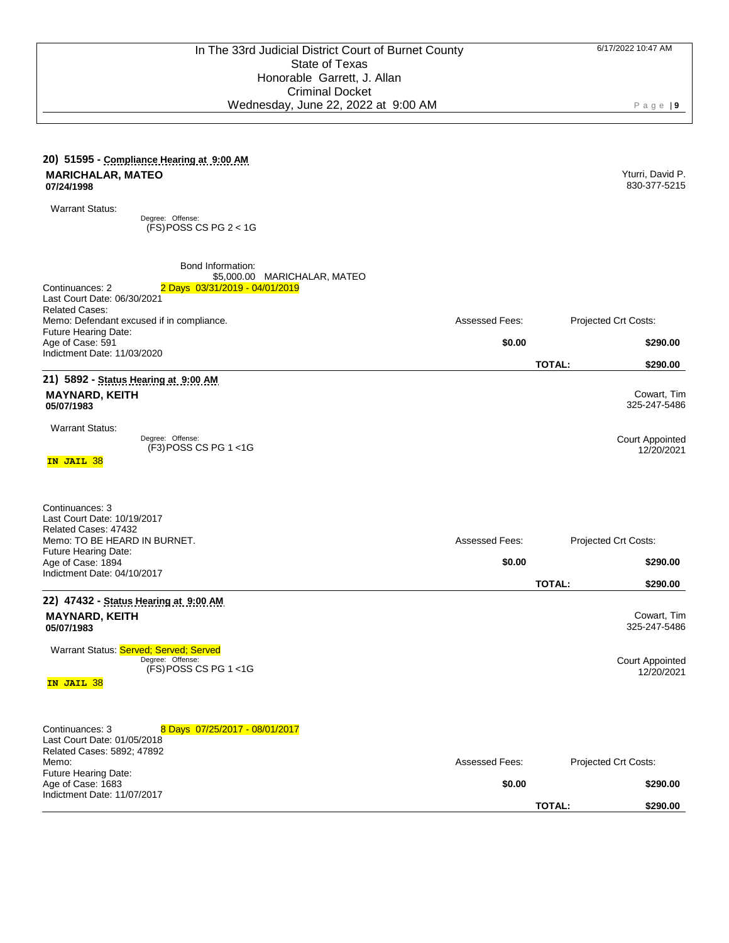Yturri, David P. 830-377-5215

## **20) 51595 - Compliance Hearing at 9:00 AM MARICHALAR, MATEO 07/24/1998**

Warrant Status:

Degree: Offense: (FS) POSS CS PG 2 < 1G

| Bond Information:<br>\$5,000.00 MARICHALAR, MATEO<br>2 Days 03/31/2019 - 04/01/2019<br>Continuances: 2<br>Last Court Date: 06/30/2021<br><b>Related Cases:</b>                      |                                 |                                                                     |
|-------------------------------------------------------------------------------------------------------------------------------------------------------------------------------------|---------------------------------|---------------------------------------------------------------------|
| Memo: Defendant excused if in compliance.                                                                                                                                           | <b>Assessed Fees:</b>           | Projected Crt Costs:                                                |
| <b>Future Hearing Date:</b><br>Age of Case: 591                                                                                                                                     | \$0.00                          | \$290.00                                                            |
| Indictment Date: 11/03/2020                                                                                                                                                         |                                 | <b>TOTAL:</b><br>\$290.00                                           |
| 21) 5892 - Status Hearing at 9:00 AM                                                                                                                                                |                                 |                                                                     |
| <b>MAYNARD, KEITH</b><br>05/07/1983                                                                                                                                                 |                                 | Cowart, Tim<br>325-247-5486                                         |
| <b>Warrant Status:</b><br>Degree: Offense:<br>$(F3)$ POSS CS PG 1 <1G<br>IN JAIL 38                                                                                                 |                                 | Court Appointed<br>12/20/2021                                       |
| Continuances: 3<br>Last Court Date: 10/19/2017<br>Related Cases: 47432<br>Memo: TO BE HEARD IN BURNET.<br>Future Hearing Date:<br>Age of Case: 1894                                 | Assessed Fees:<br>\$0.00        | Projected Crt Costs:<br>\$290.00                                    |
| Indictment Date: 04/10/2017                                                                                                                                                         |                                 | <b>TOTAL:</b><br>\$290.00                                           |
| 22) 47432 - Status Hearing at 9:00 AM<br><b>MAYNARD, KEITH</b><br>05/07/1983<br>Warrant Status: Served: Served: Served<br>Degree: Offense:<br>$(FS)$ POSS CS PG 1 <1G<br>IN JAIL 38 |                                 | Cowart, Tim<br>325-247-5486<br><b>Court Appointed</b><br>12/20/2021 |
| Continuances: 3<br>8 Days 07/25/2017 - 08/01/2017<br>Last Court Date: 01/05/2018<br>Related Cases: 5892; 47892<br>Memo:<br><b>Future Hearing Date:</b><br>Age of Case: 1683         | <b>Assessed Fees:</b><br>\$0.00 | Projected Crt Costs:<br>\$290.00                                    |
| Indictment Date: 11/07/2017                                                                                                                                                         |                                 | <b>TOTAL:</b><br>\$290.00                                           |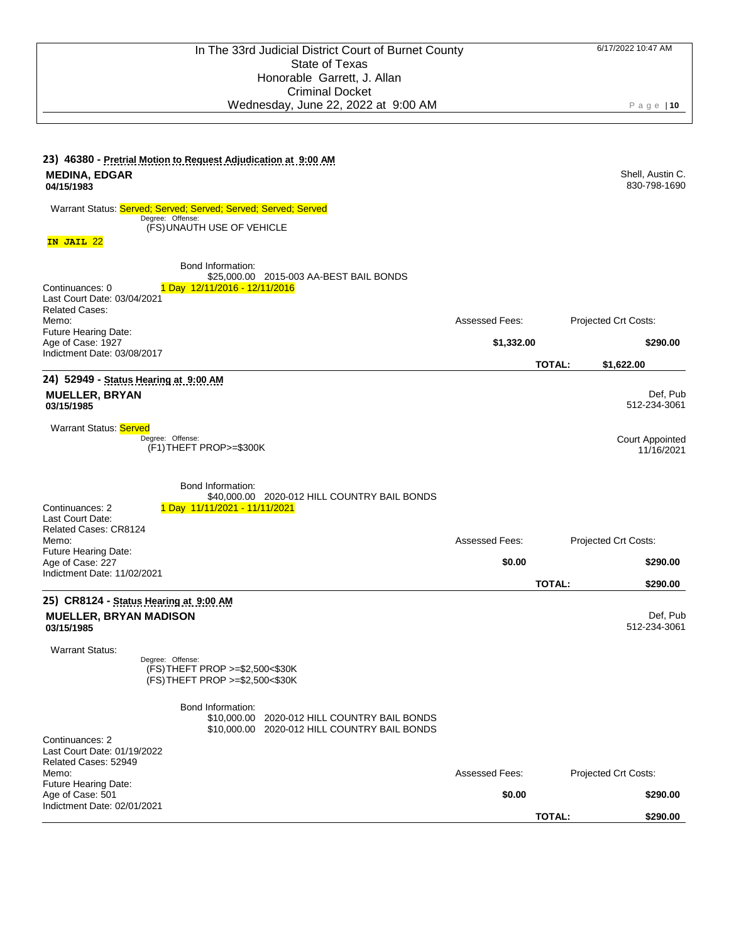| 23) 46380 - Pretrial Motion to Request Adjudication at 9:00 AM<br><b>MEDINA, EDGAR</b><br>04/15/1983 |                                                                                        |                                                                                              |                       |               | Shell, Austin C.<br>830-798-1690 |
|------------------------------------------------------------------------------------------------------|----------------------------------------------------------------------------------------|----------------------------------------------------------------------------------------------|-----------------------|---------------|----------------------------------|
| Warrant Status: Served; Served; Served; Served; Served; Served                                       | Degree: Offense:<br>(FS) UNAUTH USE OF VEHICLE                                         |                                                                                              |                       |               |                                  |
| IN JAIL 22                                                                                           |                                                                                        |                                                                                              |                       |               |                                  |
| Continuances: 0<br>Last Court Date: 03/04/2021<br><b>Related Cases:</b>                              | Bond Information:<br>1 Day 12/11/2016 - 12/11/2016                                     | \$25,000.00 2015-003 AA-BEST BAIL BONDS                                                      |                       |               |                                  |
| Memo:<br>Future Hearing Date:                                                                        |                                                                                        |                                                                                              | <b>Assessed Fees:</b> |               | Projected Crt Costs:             |
| Age of Case: 1927<br>Indictment Date: 03/08/2017                                                     |                                                                                        |                                                                                              | \$1,332.00            |               | \$290.00                         |
| 24) 52949 - Status Hearing at 9:00 AM                                                                |                                                                                        |                                                                                              |                       | <b>TOTAL:</b> | \$1,622.00                       |
| <b>MUELLER, BRYAN</b><br>03/15/1985                                                                  |                                                                                        |                                                                                              |                       |               | Def, Pub<br>512-234-3061         |
| Warrant Status: Served                                                                               | Degree: Offense:<br>(F1) THEFT PROP>=\$300K                                            |                                                                                              |                       |               | Court Appointed<br>11/16/2021    |
| Continuances: 2<br>Last Court Date:<br>Related Cases: CR8124<br>Memo:                                | Bond Information:<br>1 Day 11/11/2021 - 11/11/2021                                     | \$40,000.00 2020-012 HILL COUNTRY BAIL BONDS                                                 | <b>Assessed Fees:</b> |               | Projected Crt Costs:             |
| Future Hearing Date:<br>Age of Case: 227                                                             |                                                                                        |                                                                                              | \$0.00                |               | \$290.00                         |
| Indictment Date: 11/02/2021                                                                          |                                                                                        |                                                                                              |                       | <b>TOTAL:</b> | \$290.00                         |
| 25) CR8124 - Status Hearing at 9:00 AM<br><b>MUELLER, BRYAN MADISON</b><br>03/15/1985                |                                                                                        |                                                                                              |                       |               | Def, Pub<br>512-234-3061         |
| <b>Warrant Status:</b>                                                                               | Degree: Offense:<br>(FS) THEFT PROP >=\$2,500<\$30K<br>(FS) THEFT PROP >=\$2,500<\$30K |                                                                                              |                       |               |                                  |
| Continuances: 2<br>Last Court Date: 01/19/2022                                                       | Bond Information:                                                                      | \$10,000.00 2020-012 HILL COUNTRY BAIL BONDS<br>\$10,000.00 2020-012 HILL COUNTRY BAIL BONDS |                       |               |                                  |
| Related Cases: 52949<br>Memo:                                                                        |                                                                                        |                                                                                              | <b>Assessed Fees:</b> |               | Projected Crt Costs:             |
| Future Hearing Date:<br>Age of Case: 501                                                             |                                                                                        |                                                                                              | \$0.00                |               | \$290.00                         |
| Indictment Date: 02/01/2021                                                                          |                                                                                        |                                                                                              |                       | <b>TOTAL:</b> | \$290.00                         |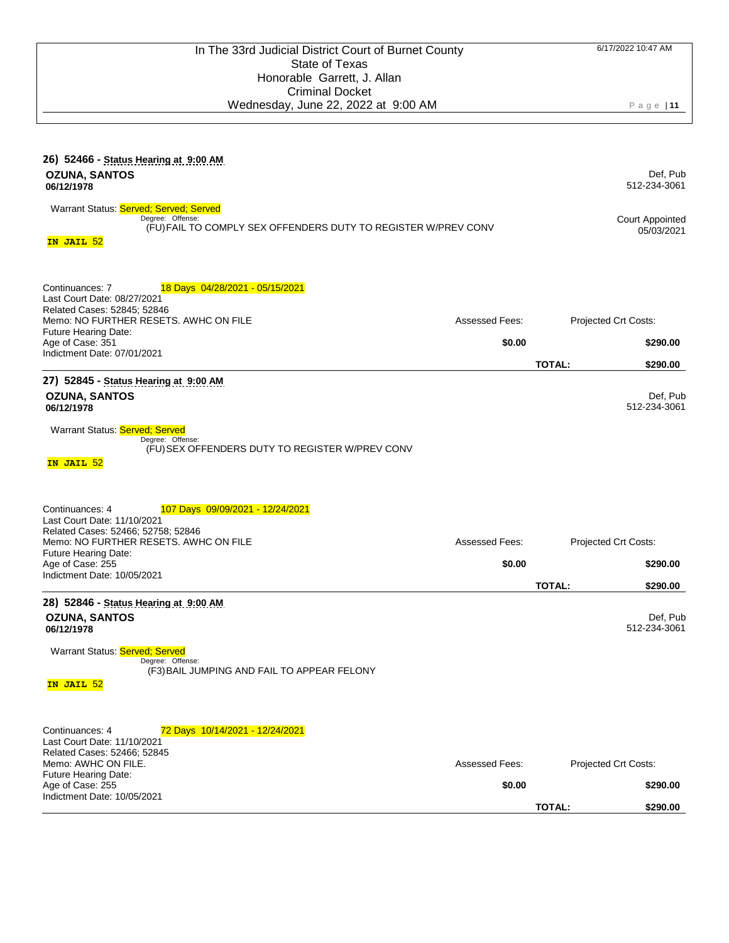| 26) 52466 - Status Hearing at 9:00 AM<br><b>OZUNA, SANTOS</b><br>06/12/1978<br>Warrant Status: Served; Served; Served<br>Degree: Offense:<br>(FU) FAIL TO COMPLY SEX OFFENDERS DUTY TO REGISTER W/PREV CONV<br>IN JAIL 52                           |                                 |               | Def, Pub<br>512-234-3061<br><b>Court Appointed</b><br>05/03/2021 |
|-----------------------------------------------------------------------------------------------------------------------------------------------------------------------------------------------------------------------------------------------------|---------------------------------|---------------|------------------------------------------------------------------|
| Continuances: 7<br>18 Days 04/28/2021 - 05/15/2021<br>Last Court Date: 08/27/2021<br>Related Cases: 52845; 52846<br>Memo: NO FURTHER RESETS. AWHC ON FILE<br>Future Hearing Date:<br>Age of Case: 351<br>Indictment Date: 07/01/2021                | <b>Assessed Fees:</b><br>\$0.00 | <b>TOTAL:</b> | Projected Crt Costs:<br>\$290.00<br>\$290.00                     |
| 27) 52845 - Status Hearing at 9:00 AM<br><b>OZUNA, SANTOS</b><br>06/12/1978<br>Warrant Status: Served; Served<br>Degree: Offense:<br>(FU) SEX OFFENDERS DUTY TO REGISTER W/PREV CONV<br>IN JAIL 52                                                  |                                 |               | Def, Pub<br>512-234-3061                                         |
| Continuances: 4<br><u>107 Days 09/09/2021 - 12/24/2021</u><br>Last Court Date: 11/10/2021<br>Related Cases: 52466; 52758; 52846<br>Memo: NO FURTHER RESETS. AWHC ON FILE<br>Future Hearing Date:<br>Age of Case: 255<br>Indictment Date: 10/05/2021 | <b>Assessed Fees:</b><br>\$0.00 | <b>TOTAL:</b> | Projected Crt Costs:<br>\$290.00<br>\$290.00                     |
| 28) 52846 - Status Hearing at 9:00 AM<br><b>OZUNA, SANTOS</b><br>06/12/1978<br>Warrant Status: Served: Served<br>Degree: Offense:<br>(F3) BAIL JUMPING AND FAIL TO APPEAR FELONY<br><mark>IN JAIL 52</mark>                                         |                                 |               | Def, Pub<br>512-234-3061                                         |
| Continuances: 4<br>72 Days 10/14/2021 - 12/24/2021<br>Last Court Date: 11/10/2021<br>Related Cases: 52466; 52845<br>Memo: AWHC ON FILE.<br>Future Hearing Date:<br>Age of Case: 255<br>Indictment Date: 10/05/2021                                  | <b>Assessed Fees:</b><br>\$0.00 | <b>TOTAL:</b> | Projected Crt Costs:<br>\$290.00<br>\$290.00                     |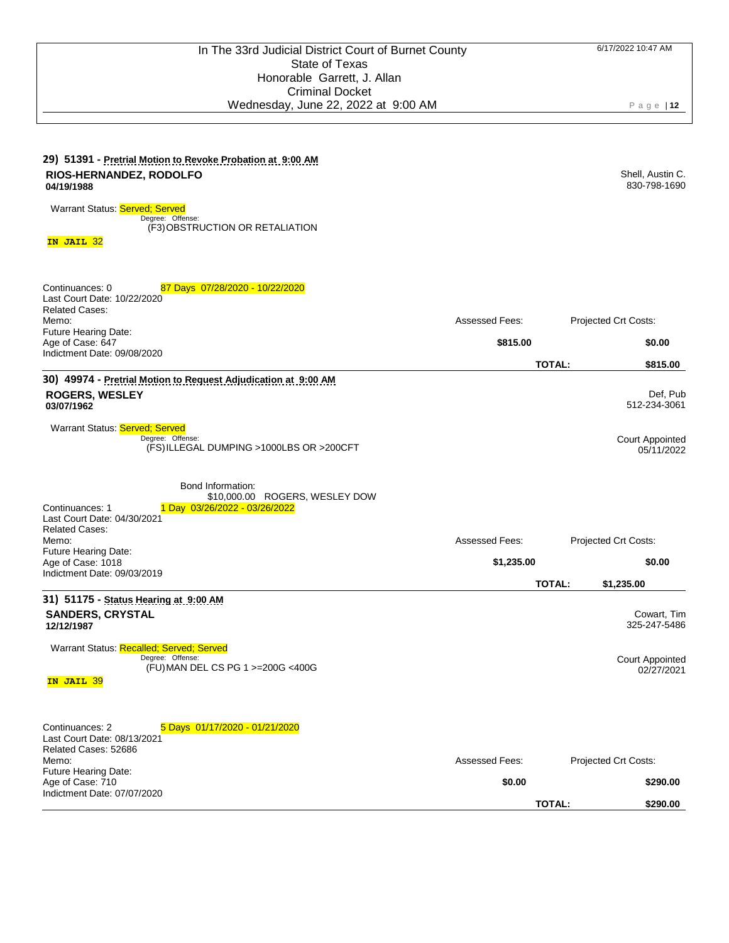### **29) 51391 - Pretrial Motion to Revoke Probation at 9:00 AM RIOS-HERNANDEZ, RODOLFO 04/19/1988**

Warrant Status: Served; Served

Degree: (F3) Offense: OBSTRUCTION OR RETALIATION

**IN JAIL** 32

| 87 Days 07/28/2020 - 10/22/2020<br>Continuances: 0<br>Last Court Date: 10/22/2020<br><b>Related Cases:</b><br>Memo:<br>Future Hearing Date:                                                       | Assessed Fees:                  | Projected Crt Costs:                                                |
|---------------------------------------------------------------------------------------------------------------------------------------------------------------------------------------------------|---------------------------------|---------------------------------------------------------------------|
| Age of Case: 647<br>Indictment Date: 09/08/2020                                                                                                                                                   | \$815.00                        | \$0.00                                                              |
|                                                                                                                                                                                                   |                                 | <b>TOTAL:</b><br>\$815.00                                           |
| 30) 49974 - Pretrial Motion to Request Adjudication at 9:00 AM<br><b>ROGERS, WESLEY</b><br>03/07/1962                                                                                             |                                 | Def, Pub<br>512-234-3061                                            |
| Warrant Status: Served; Served<br>Degree: Offense:<br>(FS) ILLEGAL DUMPING >1000LBS OR >200CFT                                                                                                    |                                 | <b>Court Appointed</b><br>05/11/2022                                |
| Bond Information:<br>\$10,000.00 ROGERS, WESLEY DOW<br>1 Day 03/26/2022 - 03/26/2022<br>Continuances: 1<br>Last Court Date: 04/30/2021<br><b>Related Cases:</b>                                   |                                 |                                                                     |
| Memo:<br>Future Hearing Date:                                                                                                                                                                     | <b>Assessed Fees:</b>           | Projected Crt Costs:                                                |
| Age of Case: 1018<br>Indictment Date: 09/03/2019                                                                                                                                                  | \$1,235.00                      | \$0.00                                                              |
|                                                                                                                                                                                                   |                                 | <b>TOTAL:</b><br>\$1,235.00                                         |
| 31) 51175 - Status Hearing at 9:00 AM<br><b>SANDERS, CRYSTAL</b><br>12/12/1987<br>Warrant Status: Recalled; Served; Served<br>Degree: Offense:<br>(FU) MAN DEL CS PG 1 >=200G <400G<br>IN JAIL 39 |                                 | Cowart, Tim<br>325-247-5486<br><b>Court Appointed</b><br>02/27/2021 |
| Continuances: 2<br>5 Days 01/17/2020 - 01/21/2020<br>Last Court Date: 08/13/2021<br>Related Cases: 52686<br>Memo:<br>Future Hearing Date:<br>Age of Case: 710<br>Indictment Date: 07/07/2020      | <b>Assessed Fees:</b><br>\$0.00 | Projected Crt Costs:<br>\$290.00<br><b>TOTAL:</b><br>\$290.00       |
|                                                                                                                                                                                                   |                                 |                                                                     |

Shell, Austin C. 830-798-1690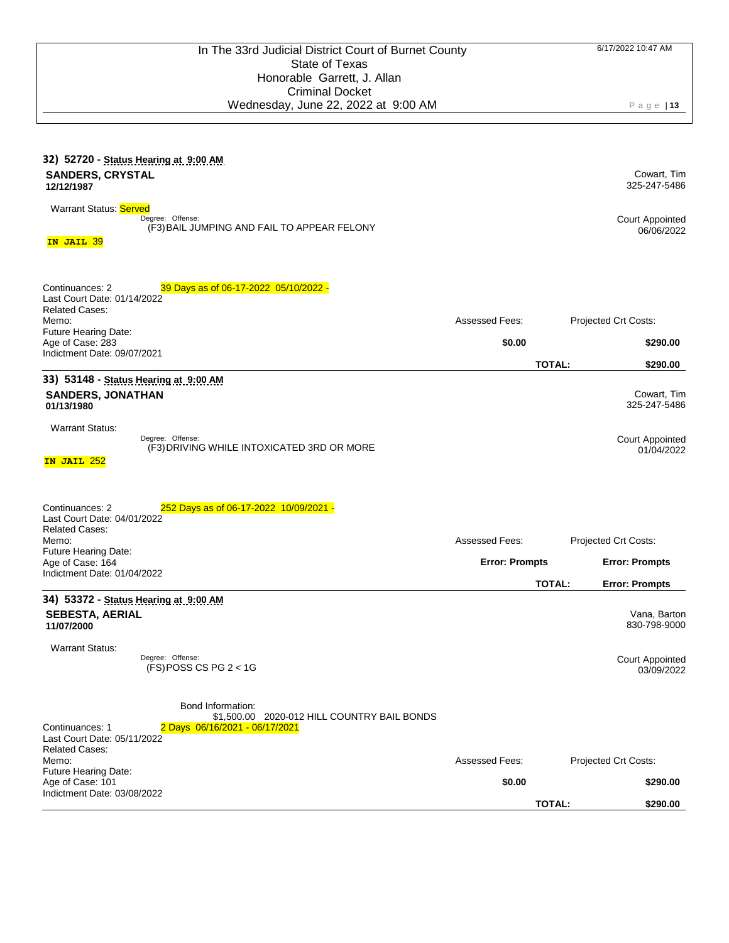| 32) 52720 - Status Hearing at 9:00 AM<br><b>SANDERS, CRYSTAL</b><br>12/12/1987                                                                                                |                       | Cowart, Tim<br>325-247-5486            |
|-------------------------------------------------------------------------------------------------------------------------------------------------------------------------------|-----------------------|----------------------------------------|
| Warrant Status: Served<br>Degree: Offense:<br>(F3) BAIL JUMPING AND FAIL TO APPEAR FELONY<br>IN JAIL 39                                                                       |                       | <b>Court Appointed</b><br>06/06/2022   |
| Continuances: 2<br>39 Days as of 06-17-2022 05/10/2022 -<br>Last Court Date: 01/14/2022<br><b>Related Cases:</b><br>Memo:<br><b>Future Hearing Date:</b>                      | Assessed Fees:        | Projected Crt Costs:                   |
| Age of Case: 283                                                                                                                                                              | \$0.00                | \$290.00                               |
| Indictment Date: 09/07/2021                                                                                                                                                   |                       | <b>TOTAL:</b><br>\$290.00              |
| 33) 53148 - Status Hearing at 9:00 AM<br><b>SANDERS, JONATHAN</b><br>01/13/1980                                                                                               |                       | Cowart, Tim<br>325-247-5486            |
| <b>Warrant Status:</b><br>Degree: Offense:<br>(F3) DRIVING WHILE INTOXICATED 3RD OR MORE<br>IN JAIL 252                                                                       |                       | <b>Court Appointed</b><br>01/04/2022   |
| Continuances: 2<br>252 Days as of 06-17-2022 10/09/2021 -<br>Last Court Date: 04/01/2022<br><b>Related Cases:</b><br>Memo:                                                    | Assessed Fees:        | Projected Crt Costs:                   |
| Future Hearing Date:<br>Age of Case: 164<br>Indictment Date: 01/04/2022                                                                                                       | <b>Error: Prompts</b> | <b>Error: Prompts</b>                  |
|                                                                                                                                                                               |                       | <b>TOTAL:</b><br><b>Error: Prompts</b> |
| 34) 53372 - Status Hearing at 9:00 AM<br><b>SEBESTA, AERIAL</b><br>11/07/2000                                                                                                 |                       | Vana, Barton<br>830-798-9000           |
| <b>Warrant Status:</b><br>Degree: Offense:<br>$(FS)$ POSS CS PG 2 < 1G                                                                                                        |                       | <b>Court Appointed</b><br>03/09/2022   |
| Bond Information:<br>\$1,500.00 2020-012 HILL COUNTRY BAIL BONDS<br>Continuances: 1<br>2 Days 06/16/2021 - 06/17/2021<br>Last Court Date: 05/11/2022<br><b>Related Cases:</b> |                       |                                        |
| Memo:                                                                                                                                                                         | Assessed Fees:        | <b>Projected Crt Costs:</b>            |
| Future Hearing Date:<br>Age of Case: 101                                                                                                                                      | \$0.00                | \$290.00                               |
| Indictment Date: 03/08/2022                                                                                                                                                   |                       | TOTAL:<br>\$290.00                     |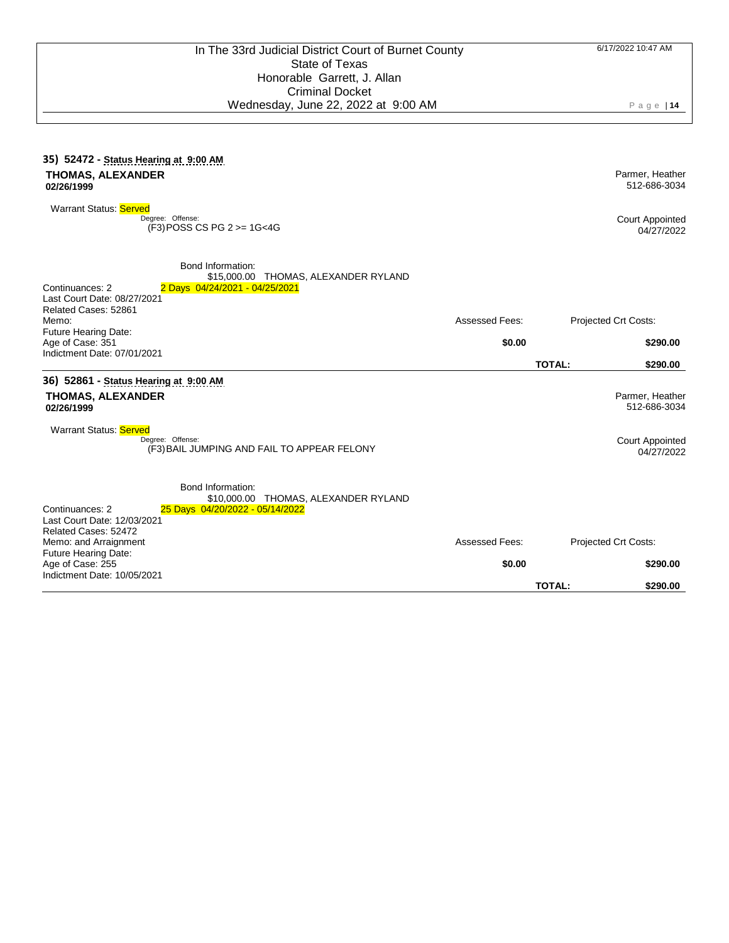| 35) 52472 - Status Hearing at 9:00 AM<br><b>THOMAS, ALEXANDER</b><br>02/26/1999                                                                                                                                         |                       | Parmer, Heather<br>512-686-3034                                         |
|-------------------------------------------------------------------------------------------------------------------------------------------------------------------------------------------------------------------------|-----------------------|-------------------------------------------------------------------------|
| <b>Warrant Status: Served</b><br>Degree: Offense:<br>(F3) POSS CS PG 2 >= 1G<4G                                                                                                                                         |                       | <b>Court Appointed</b><br>04/27/2022                                    |
| Bond Information:<br>\$15,000.00 THOMAS, ALEXANDER RYLAND<br>Continuances: 2<br>2 Days 04/24/2021 - 04/25/2021<br>Last Court Date: 08/27/2021<br>Related Cases: 52861                                                   |                       |                                                                         |
| Memo:<br>Future Hearing Date:                                                                                                                                                                                           | Assessed Fees:        | Projected Crt Costs:                                                    |
| Age of Case: 351                                                                                                                                                                                                        | \$0.00                | \$290.00                                                                |
| Indictment Date: 07/01/2021                                                                                                                                                                                             |                       | <b>TOTAL:</b><br>\$290.00                                               |
| 36) 52861 - Status Hearing at 9:00 AM<br><b>THOMAS, ALEXANDER</b><br>02/26/1999<br><b>Warrant Status: Served</b><br>Degree: Offense:<br>(F3) BAIL JUMPING AND FAIL TO APPEAR FELONY                                     |                       | Parmer, Heather<br>512-686-3034<br><b>Court Appointed</b><br>04/27/2022 |
| Bond Information:<br>\$10,000.00 THOMAS, ALEXANDER RYLAND<br>Continuances: 2<br>25 Days 04/20/2022 - 05/14/2022<br>Last Court Date: 12/03/2021<br>Related Cases: 52472<br>Memo: and Arraignment<br>Future Hearing Date: | <b>Assessed Fees:</b> | Projected Crt Costs:                                                    |
| Age of Case: 255                                                                                                                                                                                                        | \$0.00                | \$290.00                                                                |
| Indictment Date: 10/05/2021                                                                                                                                                                                             |                       | <b>TOTAL:</b><br>\$290.00                                               |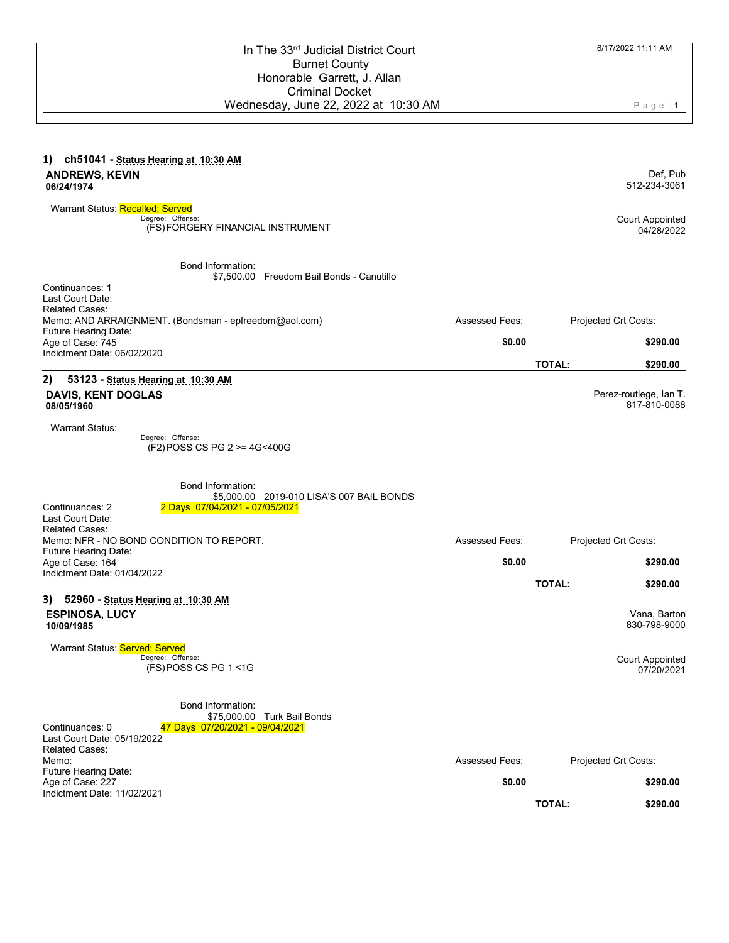| Honorable Garrett, J. Allan                                                       |                       |               |                                        |
|-----------------------------------------------------------------------------------|-----------------------|---------------|----------------------------------------|
| <b>Criminal Docket</b>                                                            |                       |               |                                        |
| Wednesday, June 22, 2022 at 10:30 AM                                              |                       |               | $P$ age   1                            |
|                                                                                   |                       |               |                                        |
| ch51041 - Status Hearing at 10:30 AM<br>1)                                        |                       |               |                                        |
| <b>ANDREWS, KEVIN</b>                                                             |                       |               | Def, Pub                               |
| 06/24/1974                                                                        |                       |               | 512-234-3061                           |
| Warrant Status: Recalled; Served<br>Degree: Offense:                              |                       |               | <b>Court Appointed</b>                 |
| (FS) FORGERY FINANCIAL INSTRUMENT                                                 |                       |               | 04/28/2022                             |
| Bond Information:                                                                 |                       |               |                                        |
| \$7,500.00 Freedom Bail Bonds - Canutillo<br>Continuances: 1                      |                       |               |                                        |
| Last Court Date:                                                                  |                       |               |                                        |
| <b>Related Cases:</b><br>Memo: AND ARRAIGNMENT. (Bondsman - epfreedom@aol.com)    | <b>Assessed Fees:</b> |               | Projected Crt Costs:                   |
| Future Hearing Date:<br>Age of Case: 745                                          | \$0.00                |               | \$290.00                               |
| Indictment Date: 06/02/2020                                                       |                       | <b>TOTAL:</b> | \$290.00                               |
| 2)<br>53123 - Status Hearing at 10:30 AM                                          |                       |               |                                        |
| <b>DAVIS, KENT DOGLAS</b><br>08/05/1960                                           |                       |               | Perez-routlege, Ian T.<br>817-810-0088 |
| <b>Warrant Status:</b>                                                            |                       |               |                                        |
| Degree: Offense:<br>(F2) POSS CS PG 2 >= 4G<400G                                  |                       |               |                                        |
|                                                                                   |                       |               |                                        |
| Bond Information:<br>\$5,000.00 2019-010 LISA'S 007 BAIL BONDS                    |                       |               |                                        |
| Continuances: 2<br>2 Days 07/04/2021 - 07/05/2021                                 |                       |               |                                        |
| Last Court Date:                                                                  |                       |               |                                        |
| <b>Related Cases:</b><br>Memo: NFR - NO BOND CONDITION TO REPORT.                 | <b>Assessed Fees:</b> |               | Projected Crt Costs:                   |
| Future Hearing Date:                                                              |                       |               |                                        |
| Age of Case: 164<br>Indictment Date: 01/04/2022                                   | \$0.00                |               | \$290.00                               |
|                                                                                   |                       | <b>TOTAL:</b> | \$290.00                               |
| 3)<br>52960 - Status Hearing at 10:30 AM                                          |                       |               |                                        |
| <b>ESPINOSA, LUCY</b><br>10/09/1985                                               |                       |               | Vana, Barton<br>830-798-9000           |
| Warrant Status: Served; Served                                                    |                       |               |                                        |
| Degree: Offense:<br>$(FS)$ POSS CS PG 1 <1G                                       |                       |               | Court Appointed<br>07/20/2021          |
|                                                                                   |                       |               |                                        |
| Bond Information:                                                                 |                       |               |                                        |
| \$75,000.00 Turk Bail Bonds<br>Continuances: 0<br>47 Days 07/20/2021 - 09/04/2021 |                       |               |                                        |
| Last Court Date: 05/19/2022                                                       |                       |               |                                        |
| <b>Related Cases:</b><br>Memo:                                                    | <b>Assessed Fees:</b> |               | Projected Crt Costs:                   |
| Future Hearing Date:                                                              |                       |               |                                        |
| Age of Case: 227<br>Indictment Date: 11/02/2021                                   | \$0.00                |               | \$290.00                               |
|                                                                                   |                       | <b>TOTAL:</b> | \$290.00                               |

In The 33<sup>rd</sup> Judicial District Court Burnet County

6/17/2022 11:11 AM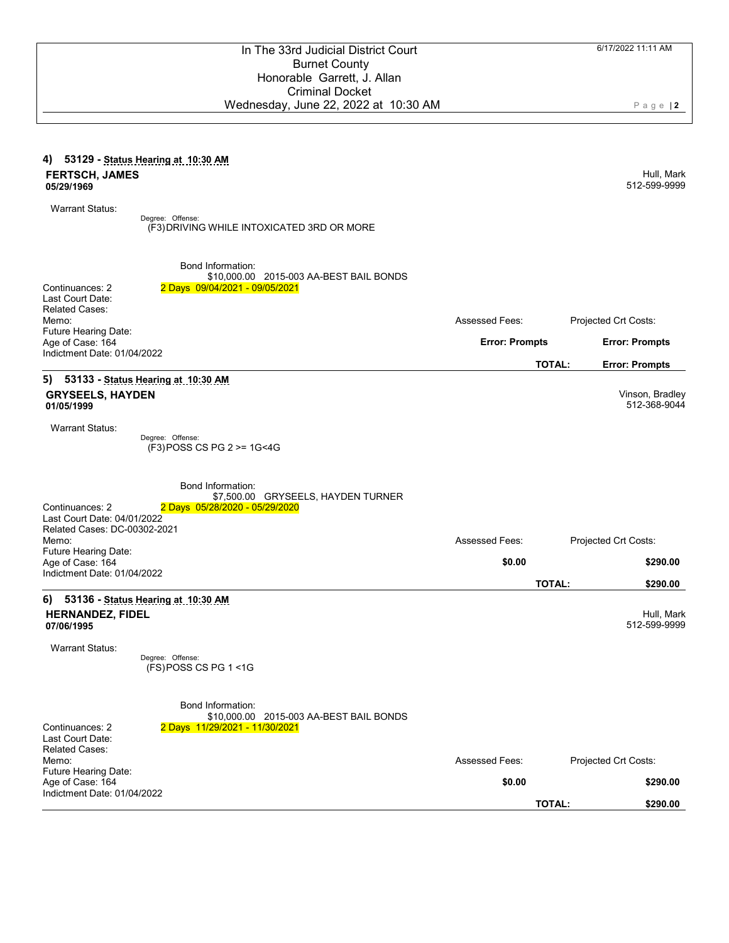|                                                             | Honorable Garrett, J. Allah                |                       |                                        |
|-------------------------------------------------------------|--------------------------------------------|-----------------------|----------------------------------------|
|                                                             | <b>Criminal Docket</b>                     |                       |                                        |
|                                                             | Wednesday, June 22, 2022 at 10:30 AM       |                       | $P$ age   2                            |
|                                                             |                                            |                       |                                        |
|                                                             |                                            |                       |                                        |
| 4) 53129 - Status Hearing at 10:30 AM                       |                                            |                       |                                        |
| <b>FERTSCH, JAMES</b>                                       |                                            |                       | Hull, Mark                             |
| 05/29/1969                                                  |                                            |                       | 512-599-9999                           |
|                                                             |                                            |                       |                                        |
| <b>Warrant Status:</b>                                      |                                            |                       |                                        |
| Degree: Offense:                                            | (F3) DRIVING WHILE INTOXICATED 3RD OR MORE |                       |                                        |
|                                                             |                                            |                       |                                        |
|                                                             |                                            |                       |                                        |
|                                                             | <b>Bond Information:</b>                   |                       |                                        |
|                                                             | \$10,000.00 2015-003 AA-BEST BAIL BONDS    |                       |                                        |
| Continuances: 2                                             | 2 Days 09/04/2021 - 09/05/2021             |                       |                                        |
| Last Court Date:<br><b>Related Cases:</b>                   |                                            |                       |                                        |
| Memo:                                                       |                                            | <b>Assessed Fees:</b> | Projected Crt Costs:                   |
| Future Hearing Date:                                        |                                            |                       |                                        |
| Age of Case: 164<br>Indictment Date: 01/04/2022             |                                            | <b>Error: Prompts</b> | <b>Error: Prompts</b>                  |
|                                                             |                                            |                       | <b>TOTAL:</b><br><b>Error: Prompts</b> |
| 5)<br>53133 - Status Hearing at 10:30 AM                    |                                            |                       |                                        |
| <b>GRYSEELS, HAYDEN</b>                                     |                                            |                       | Vinson, Bradley                        |
| 01/05/1999                                                  |                                            |                       | 512-368-9044                           |
|                                                             |                                            |                       |                                        |
| <b>Warrant Status:</b>                                      |                                            |                       |                                        |
| Degree: Offense:                                            | (F3) POSS CS PG 2 >= 1G<4G                 |                       |                                        |
|                                                             |                                            |                       |                                        |
|                                                             |                                            |                       |                                        |
|                                                             | <b>Bond Information:</b>                   |                       |                                        |
|                                                             | \$7,500.00 GRYSEELS, HAYDEN TURNER         |                       |                                        |
| Continuances: 2                                             | 2 Days 05/28/2020 - 05/29/2020             |                       |                                        |
| Last Court Date: 04/01/2022<br>Related Cases: DC-00302-2021 |                                            |                       |                                        |
| Memo:                                                       |                                            | <b>Assessed Fees:</b> | Projected Crt Costs:                   |
| Future Hearing Date:                                        |                                            |                       |                                        |
| Age of Case: 164                                            |                                            | \$0.00                | \$290.00                               |
| Indictment Date: 01/04/2022                                 |                                            |                       | <b>TOTAL:</b>                          |
|                                                             |                                            |                       | \$290.00                               |
| 6)<br>53136 - Status Hearing at 10:30 AM                    |                                            |                       |                                        |
| <b>HERNANDEZ, FIDEL</b><br>07/06/1995                       |                                            |                       | Hull, Mark<br>512-599-9999             |
|                                                             |                                            |                       |                                        |
| <b>Warrant Status:</b>                                      |                                            |                       |                                        |
| Degree: Offense:                                            |                                            |                       |                                        |
| (FS) POSS CS PG 1 <1G                                       |                                            |                       |                                        |
|                                                             |                                            |                       |                                        |
|                                                             | Bond Information:                          |                       |                                        |
|                                                             | \$10,000.00 2015-003 AA-BEST BAIL BONDS    |                       |                                        |
| Continuances: 2                                             | 2 Days 11/29/2021 - 11/30/2021             |                       |                                        |
| Last Court Date:                                            |                                            |                       |                                        |
| <b>Related Cases:</b>                                       |                                            |                       |                                        |
| Memo:<br>Future Hearing Date:                               |                                            | <b>Assessed Fees:</b> | Projected Crt Costs:                   |
| Age of Case: 164                                            |                                            | \$0.00                | \$290.00                               |
|                                                             |                                            |                       |                                        |

Indictment Date: 01/04/2022

6/17/2022 11:11 AM

**TOTAL: \$290.00**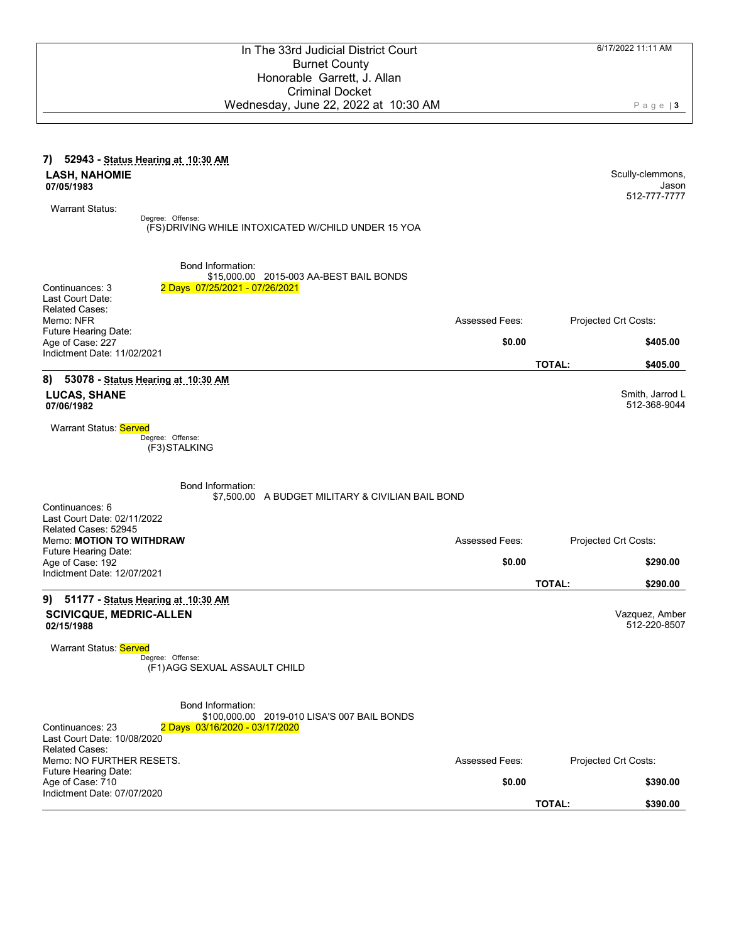| <b>Burnet County</b>                                                                              |                       |                                 |
|---------------------------------------------------------------------------------------------------|-----------------------|---------------------------------|
| Honorable Garrett, J. Allan                                                                       |                       |                                 |
| <b>Criminal Docket</b>                                                                            |                       |                                 |
| Wednesday, June 22, 2022 at 10:30 AM                                                              |                       | $P$ age   3                     |
|                                                                                                   |                       |                                 |
| 7) 52943 - Status Hearing at 10:30 AM                                                             |                       |                                 |
| <b>LASH, NAHOMIE</b><br>07/05/1983                                                                |                       | Scully-clemmons,<br>Jason       |
|                                                                                                   |                       | 512-777-7777                    |
| <b>Warrant Status:</b><br>Degree: Offense:                                                        |                       |                                 |
| (FS) DRIVING WHILE INTOXICATED W/CHILD UNDER 15 YOA                                               |                       |                                 |
| Bond Information:                                                                                 |                       |                                 |
| \$15,000.00 2015-003 AA-BEST BAIL BONDS<br>Continuances: 3<br>2 Days 07/25/2021 - 07/26/2021      |                       |                                 |
| Last Court Date:                                                                                  |                       |                                 |
| <b>Related Cases:</b><br>Memo: NFR                                                                | <b>Assessed Fees:</b> | Projected Crt Costs:            |
| Future Hearing Date:                                                                              |                       |                                 |
| Age of Case: 227<br>Indictment Date: 11/02/2021                                                   | \$0.00                | \$405.00                        |
|                                                                                                   | <b>TOTAL:</b>         | \$405.00                        |
| 53078 - Status Hearing at 10:30 AM<br>8)                                                          |                       |                                 |
| <b>LUCAS, SHANE</b><br>07/06/1982                                                                 |                       | Smith, Jarrod L<br>512-368-9044 |
|                                                                                                   |                       |                                 |
| Warrant Status: Served<br>Degree: Offense:                                                        |                       |                                 |
| (F3) STALKING                                                                                     |                       |                                 |
| Bond Information:                                                                                 |                       |                                 |
| \$7,500.00 A BUDGET MILITARY & CIVILIAN BAIL BOND<br>Continuances: 6                              |                       |                                 |
| Last Court Date: 02/11/2022                                                                       |                       |                                 |
| Related Cases: 52945<br>Memo: MOTION TO WITHDRAW                                                  | <b>Assessed Fees:</b> | Projected Crt Costs:            |
| Future Hearing Date:                                                                              |                       |                                 |
| Age of Case: 192<br>Indictment Date: 12/07/2021                                                   | \$0.00                | \$290.00                        |
|                                                                                                   | <b>TOTAL:</b>         | \$290.00                        |
| 51177 - Status Hearing at 10:30 AM<br>9)                                                          |                       |                                 |
| <b>SCIVICQUE, MEDRIC-ALLEN</b><br>02/15/1988                                                      |                       | Vazquez, Amber<br>512-220-8507  |
| Warrant Status: Served<br>Degree: Offense:                                                        |                       |                                 |
| (F1) AGG SEXUAL ASSAULT CHILD                                                                     |                       |                                 |
| <b>Bond Information:</b>                                                                          |                       |                                 |
| \$100,000.00 2019-010 LISA'S 007 BAIL BONDS<br>Continuances: 23<br>2 Days 03/16/2020 - 03/17/2020 |                       |                                 |
| Last Court Date: 10/08/2020<br><b>Related Cases:</b>                                              |                       |                                 |
| Memo: NO FURTHER RESETS.                                                                          | <b>Assessed Fees:</b> | Projected Crt Costs:            |
| Future Hearing Date:<br>Age of Case: 710                                                          | \$0.00                | \$390.00                        |
| Indictment Date: 07/07/2020                                                                       |                       |                                 |

In The 33rd Judicial District Court

| <b>TOTAL:</b> | \$390.00 |
|---------------|----------|
|               |          |

6/17/2022 11:11 AM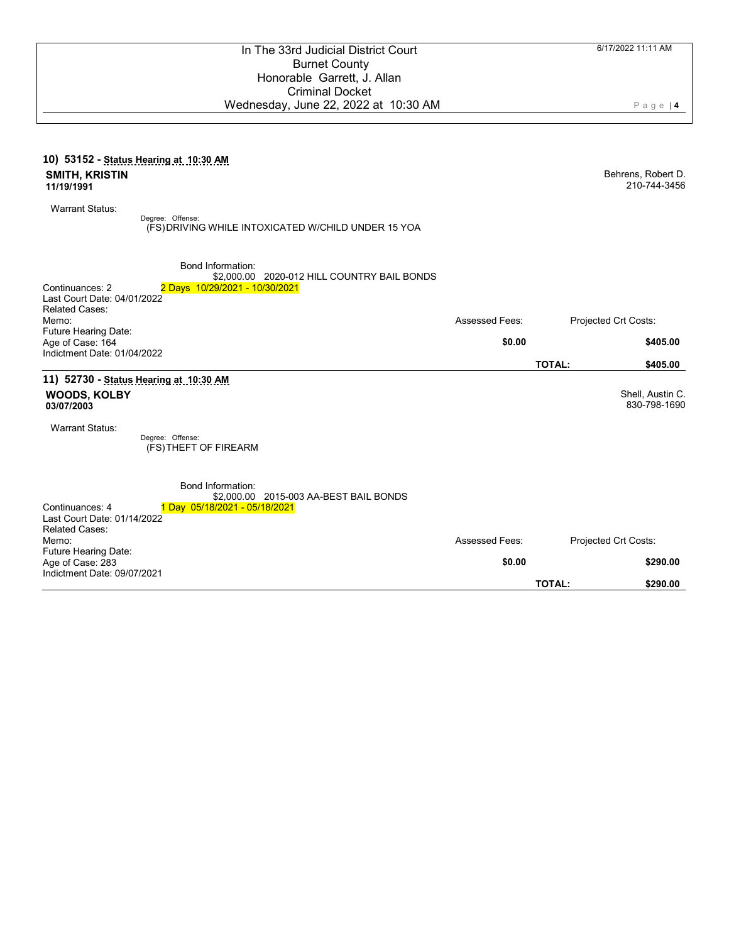|                                                               | <b>Burnet County</b><br>Honorable Garrett, J. Allan<br><b>Criminal Docket</b>                             |                       |                                    |
|---------------------------------------------------------------|-----------------------------------------------------------------------------------------------------------|-----------------------|------------------------------------|
|                                                               | Wednesday, June 22, 2022 at 10:30 AM                                                                      |                       | $P$ age   4                        |
|                                                               | 10) 53152 - Status Hearing at 10:30 AM                                                                    |                       |                                    |
| <b>SMITH, KRISTIN</b><br>11/19/1991                           |                                                                                                           |                       | Behrens, Robert D.<br>210-744-3456 |
| <b>Warrant Status:</b>                                        | Degree: Offense:<br>(FS) DRIVING WHILE INTOXICATED W/CHILD UNDER 15 YOA                                   |                       |                                    |
| Continuances: 2                                               | <b>Bond Information:</b><br>\$2,000.00 2020-012 HILL COUNTRY BAIL BONDS<br>2 Days 10/29/2021 - 10/30/2021 |                       |                                    |
| Last Court Date: 04/01/2022<br><b>Related Cases:</b><br>Memo: |                                                                                                           | <b>Assessed Fees:</b> | Projected Crt Costs:               |
| Future Hearing Date:<br>Age of Case: 164                      |                                                                                                           | \$0.00                | \$405.00                           |
| Indictment Date: 01/04/2022                                   |                                                                                                           |                       | TOTAL:<br>\$405.00                 |
| <b>WOODS, KOLBY</b><br>03/07/2003                             | 11) 52730 - Status Hearing at 10:30 AM                                                                    |                       | Shell, Austin C.<br>830-798-1690   |
| <b>Warrant Status:</b>                                        | Degree: Offense:<br>(FS) THEFT OF FIREARM                                                                 |                       |                                    |
| Continuances: 4                                               | Bond Information:<br>\$2,000.00 2015-003 AA-BEST BAIL BONDS<br>1 Day 05/18/2021 - 05/18/2021              |                       |                                    |
| Last Court Date: 01/14/2022<br><b>Related Cases:</b><br>Memo: |                                                                                                           | Assessed Fees:        | Projected Crt Costs:               |
| Future Hearing Date:<br>Age of Case: 283                      |                                                                                                           | \$0.00                | \$290.00                           |
| Indictment Date: 09/07/2021                                   |                                                                                                           |                       | <b>TOTAL:</b><br>\$290.00          |

In The 33rd Judicial District Court

6/17/2022 11:11 AM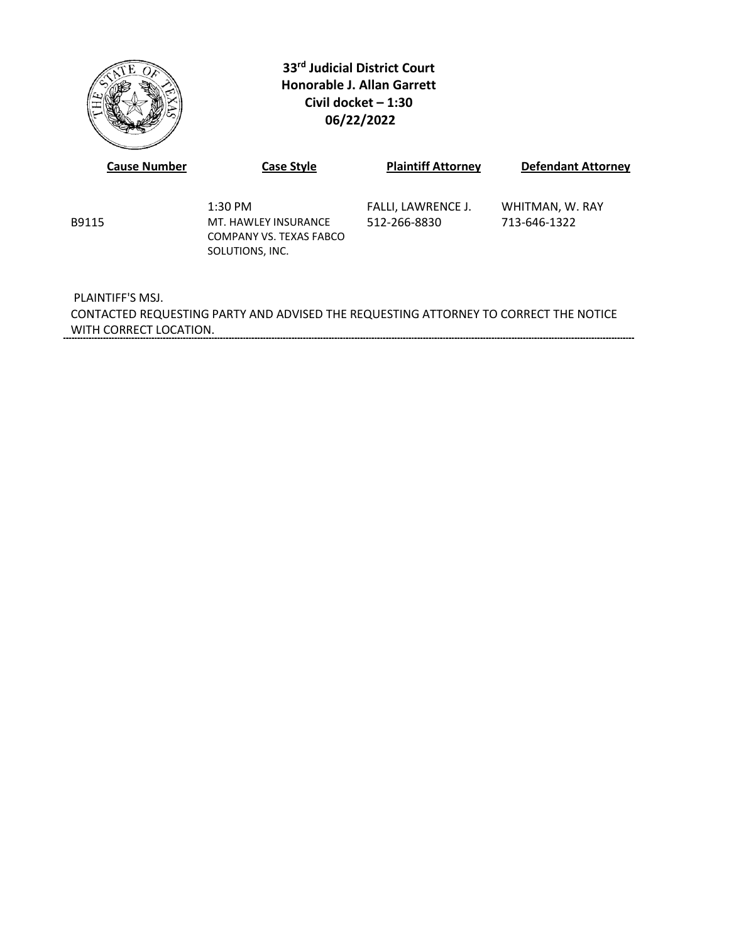

**33rd Judicial District Court Honorable J. Allan Garrett Civil docket – 1:30 06/22/2022**

| <b>Cause Number</b> | <b>Case Style</b>                                                               | <b>Plaintiff Attorney</b>          | <b>Defendant Attorney</b>       |
|---------------------|---------------------------------------------------------------------------------|------------------------------------|---------------------------------|
| B9115               | $1:30$ PM<br>MT. HAWLEY INSURANCE<br>COMPANY VS. TEXAS FABCO<br>SOLUTIONS, INC. | FALLI, LAWRENCE J.<br>512-266-8830 | WHITMAN, W. RAY<br>713-646-1322 |
| PLAINTIFF'S MSJ.    |                                                                                 |                                    |                                 |

CONTACTED REQUESTING PARTY AND ADVISED THE REQUESTING ATTORNEY TO CORRECT THE NOTICE WITH CORRECT LOCATION.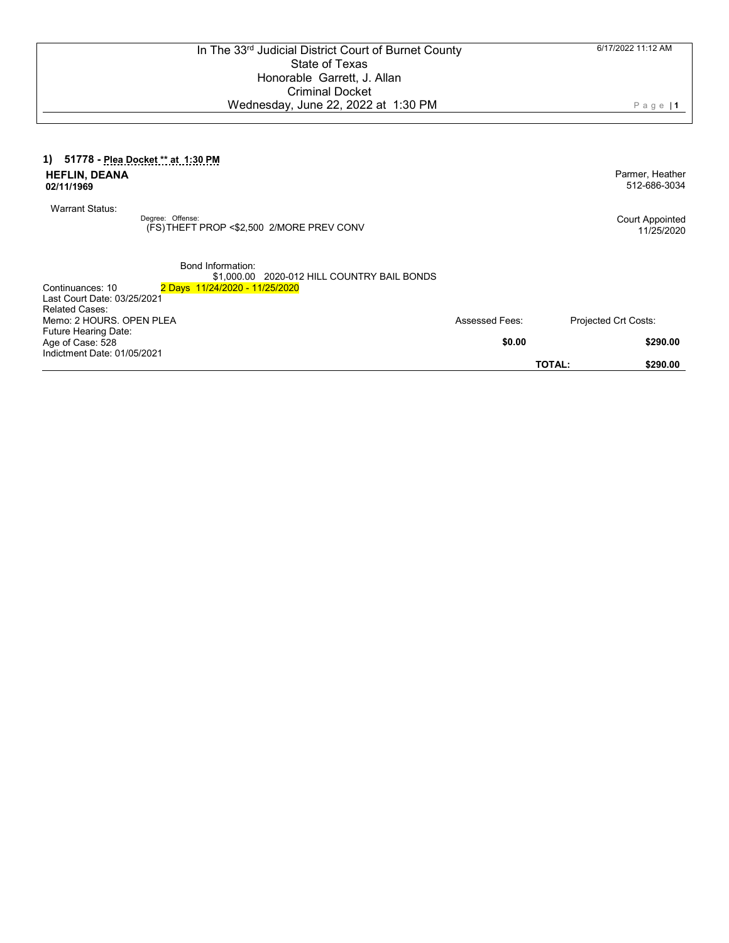Page | **1**

#### **1) 51778 - Plea Docket \*\* at 1:30 PM HEFLIN, DEANA 02/11/1969**

Warrant Status:

Degree: Offense: (FS) THEFT PROP <\$2,500 2/MORE PREV CONV Court Appointed

Parmer, Heather 512-686-3034

11/25/2020

Bond Information:

\$1,000.00 2020-012 HILL COUNTRY BAIL BONDS

| 2 Days 11/24/2020 - 11/25/2020 |                          |                             |
|--------------------------------|--------------------------|-----------------------------|
|                                |                          |                             |
|                                |                          |                             |
|                                | <b>Assessed Fees:</b>    | <b>Projected Crt Costs:</b> |
|                                |                          |                             |
|                                | \$0.00                   | \$290.00                    |
|                                |                          |                             |
|                                |                          | <b>TOTAL:</b><br>\$290.00   |
|                                | Memo: 2 HOURS, OPEN PLEA |                             |